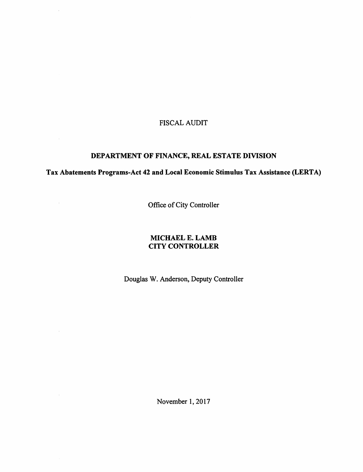# FISCAL AUDIT

 $\mathcal{A}^{\mathcal{A}}$ 

 $\sim$ 

 $\mathcal{L}^{\mathcal{L}}$ 

 $\mathcal{A}$ 

 $\sim$ 

## DEPARTMENT OF FINANCE, REAL ESTATE DIVISION

Tax Abatements Programs-Act 42 and Local Economic Stimulus Tax Assistance (LERTA)

Office of City Controller

## MICHAEL E. LAMB CITY CONTROLLER

Douglas W. Anderson, Deputy Controller

November 1,2017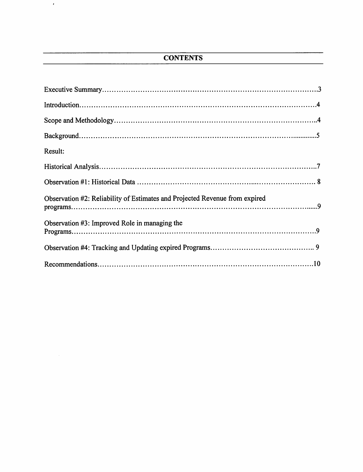# **CONTENTS**

 $\bar{\psi}$ 

| Result:                                                                     |
|-----------------------------------------------------------------------------|
|                                                                             |
|                                                                             |
| Observation #2: Reliability of Estimates and Projected Revenue from expired |
| Observation #3: Improved Role in managing the                               |
|                                                                             |
|                                                                             |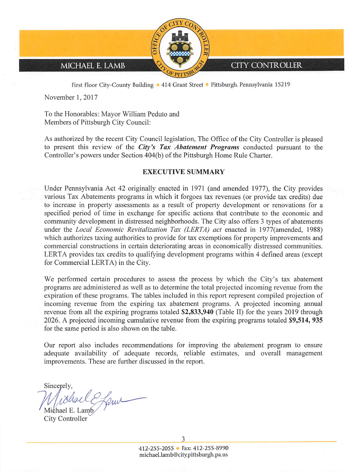

First Floor City-County Building . 414 Grant Street . Pittsburgh, Pennsylvania 15219

November 1, 2017

To the Honorables: Mayor William Peduto and Members of Pittsburgh City Council:

As authorized by the recent City Council legislation, The Office of the City Controller is pleased to present this review of the City's Tax Abatement Programs conducted pursuant to the Controller's powers under Section 404(b) of the Pittsburgh Home Rule Charter.

#### EXECUTIVE SUMMARY

Under Pennsylvania Act 42 originally enacted in 1971 (and amended 1977), the City provides various Tax Abatements programs in which it forgoes tax revenues (or provide tax credits) due to increase in property assessments as a result of property development or renovations for a specified period of time in exchange for specific actions that contribute to the economic and community development in distressed neighborhoods. The City also offers 3 types of abatements under the Local Economic Revitalization Tax (LERTA) act enacted in 1977(amended, 1988) which authorizes taxing authorities to provide for tax exemptions for property improvements and commercial constructions in certain deteriorating areas in economically distressed communities. LERTA provides tax credits to qualifying development programs within 4 defined areas (except for Commercial LERTA) in the City.

We performed certain procedures to assess the process by which the City's tax abatement programs are administered as well as to determine the total projected incoming revenue from the expiration of these programs. The tables included in this report represent compiled projection of incoming revenue from the expiring tax abatement programs. A projected incoming annual revenue from all the expiring programs totaled \$2,833,940 (Table II) for the years 2019 through 2026. A projected incoming cumulative revenue from the expiring programs totaled \$9,514, 935 for the same period is also shown on the table.

Our report also includes recommendations for improving the abatement program to ensure adequate availability of adequate records, reliable estimates, and overall management improvements. These are further discussed in the report.

Sincerely, ichael Efame

Michael E. Lamb City Controller

3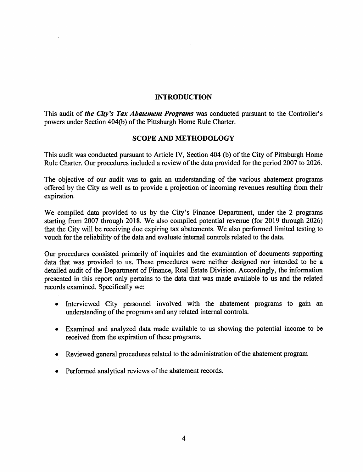## INTRODUCTION

This audit of the City's Tax Abatement Programs was conducted pursuant to the Controller's powers under Section 404(b) of the Pittsburgh Home Rule Charter.

## SCOPE AND METHODOLOGY

This audit was conducted pursuant to Article IV, Section 404 (b) of the City of Pittsburgh Home Rule Charter. Our procedures included a review of the data provided for the period 2007 to 2026.

The objective of our audit was to gain an understanding of the various abatement programs offered by the City as well as to provide a projection of incoming revenues resulting from their expiration.

We compiled data provided to us by the City's Finance Department, under the 2 programs starting from 2007 through 2018. We also compiled potential revenue (for 2019 through 2026) that the City will be receiving due expiring tax abatements. We also performed limited testing to vouch for the reliability of the data and evaluate internal controls related to the data.

Our procedures consisted primarily of inquiries and the examination of documents supporting data that was provided to us. These procedures were neither designed nor intended to be a detailed audit of the Department of Finance, Real Estate Division. Accordingly, the information presented in this report only pertains to the data that was made available to us and the related records examined. Specifically we:

- Interviewed City personnel involved with the abatement programs to gain an understanding of the programs and any related internal controls.
- Examined and analyzed data made available to us showing the potential income to be received from the expiration of these programs.
- Reviewed general procedures related to the administration of the abatement program
- Performed analytical reviews of the abatement records.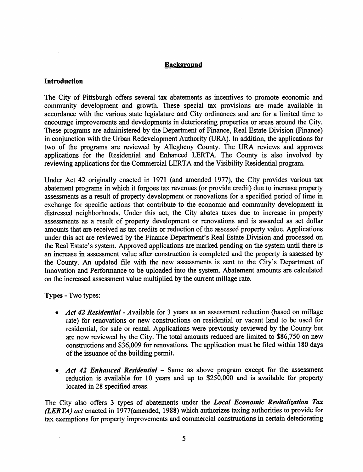## Background

## Introduction

The City of Pittsburgh offers several tax abatements as incentives to promote economic and community development and growth. These special tax provisions are made available in accordance with the various state legislature and City ordinances and are for a limited time to encourage improvements and developments in deteriorating properties or areas around the City. These programs are administered by the Department of Finance, Real Estate Division (Finance) in conjunction with the Urban Redevelopment Authority (URA). In addition, the applications for two of the programs are reviewed by Allegheny County. The URA reviews and approves applications for the Residential and Enhanced LERTA. The County is also involved by reviewing applications for the Commercial LERTA and the Visibility Residential program.

Under Act 42 originally enacted in 1971 (and amended 1977), the City provides various tax abatement programs in which it forgoes tax revenues (or provide credit) due to increase property assessments as a result of property development or renovations for a specified period of time in exchange for specific actions that contribute to the economic and community development in distressed neighborhoods. Under this act, the City abates taxes due to increase in property assessments as a result of property development or renovations and is awarded as set dollar amounts that are received as tax credits or reduction of the assessed property value. Applications under this act are reviewed by the Finance Department's Real Estate Division and processed on the Real Estate's system. Approved applications are marked pending on the system until there is an increase in assessment value after construction is completed and the property is assessed by the County. An updated file with the new assessments is sent to the City's Department of Innovation and Performance to be uploaded into the system. Abatement amounts are calculated on the increased assessment value multiplied by the current millage rate.

Types - Two types:

- Act 42 Residential Available for 3 years as an assessment reduction (based on millage rate) for renovations or new constructions on residential or vacant land to be used for residential, for sale or rental. Applications were previously reviewed by the County but are now reviewed by the City. The total amounts reduced are limited to \$86,750 on new constructions and \$36,009 for renovations. The application must be filed within 180 days of the issuance of the building permit.
- Act 42 Enhanced Residential  $-$  Same as above program except for the assessment reduction is available for 10 years and up to \$250,000 and is available for property located in 28 specified areas.

The City also offers 3 types of abatements under the Local Economic Revitalization Tax (LERTA) act enacted in 1977(amended, 1988) which authorizes taxing authorities to provide for tax exemptions for property improvements and commercial constructions in certain deteriorating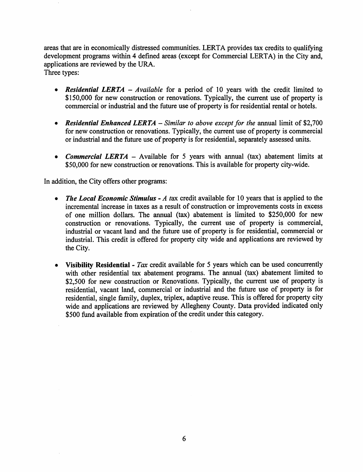areas that are in economically distressed communities. LERTA provides tax credits to qualifying development programs within 4 defined areas (except for Commercial LERTA) in the City and, applications are reviewed by the URA. Three types:

- Residential LERTA Available for a period of 10 years with the credit limited to \$150,000 for new construction or renovations. Typically, the current use of property is commercial or industrial and the future use of property is for residential rental or hotels.
- Residential Enhanced LERTA Similar to above except for the annual limit of \$2,700 for new construction or renovations. Typically, the current use of property is commercial or industrial and the future use of property is for residential, separately assessed units.
- Commercial LERTA Available for 5 years with annual (tax) abatement limits at \$50,000 for new construction or renovations. This is available for property city-wide.

In addition, the City offers other programs:

- The Local Economic Stimulus  $-A$  tax credit available for 10 years that is applied to the incremental increase in taxes as a result of construction or improvements costs in excess of one million dollars. The annual (tax) abatement is limited to \$250,000 for new construction or renovations. Typically, the current use of property is commercial, industrial or vacant land and the future use of property is for residential, commercial or industrial. This credit is offered for property city wide and applications are reviewed by the City.
- Visibility Residential Tax credit available for 5 years which can be used concurrently with other residential tax abatement programs. The annual (tax) abatement limited to \$2,500 for new construction or Renovations. Typically, the current use of property is residential, vacant land, commercial or industrial and the future use of property is for residential, single family, duplex, triplex, adaptive reuse. This is offered for property city wide and applications are reviewed by Allegheny County. Data provided indicated only \$500 fund available from expiration of the credit under this category.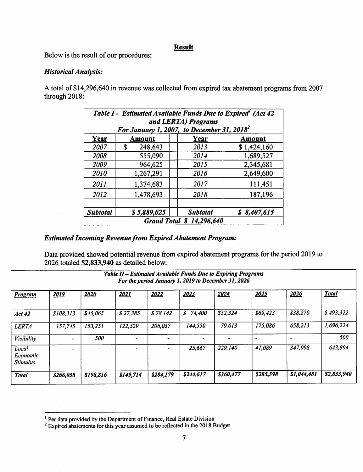## **Result**

Below is the result of our procedures:

## Historical Analysis:

A total of \$14,296,640 in revenue was collected from expired tax abatement programs from 2007 through 2018:

| Table I - Estimated Available Funds Due to Expired (Act 42<br>and LERTA) Programs<br>For January 1, 2007, to December 31, 2018 <sup>2</sup> |               |                 |             |  |  |  |  |
|---------------------------------------------------------------------------------------------------------------------------------------------|---------------|-----------------|-------------|--|--|--|--|
| Year                                                                                                                                        | Amount        | Year            | Amount      |  |  |  |  |
| 2007                                                                                                                                        | 248,643<br>\$ | 2013            | \$1,424,160 |  |  |  |  |
| 2008                                                                                                                                        | 555,090       | 2014            | 1,689,527   |  |  |  |  |
| 2009                                                                                                                                        | 964,625       | 2015            | 2,345,681   |  |  |  |  |
| 2010                                                                                                                                        | 1,267,291     | 2016            | 2,649,600   |  |  |  |  |
| 2011                                                                                                                                        | 1,374,683     | 2017            | 111,451     |  |  |  |  |
| 2012                                                                                                                                        | 1,478,693     | 2018            | 187,196     |  |  |  |  |
| <b>Subtotal</b>                                                                                                                             | \$5,889,025   | <b>Subtotal</b> | \$8,407,615 |  |  |  |  |
| <b>Grand Total \$ 14,296,640</b>                                                                                                            |               |                 |             |  |  |  |  |

## Estimated Incoming Revenue from Expired Abatement Program:

Data provided showed potential revenue from expired abatement programs for the period 2019 to 2026 totaled \$2,833,940 as detailed below:

| Table II - Estimated Available Funds Due to Expiring Programs<br>For the period January 1, 2019 to December 31, 2026 |           |           |           |           |           |           |           |             |              |
|----------------------------------------------------------------------------------------------------------------------|-----------|-----------|-----------|-----------|-----------|-----------|-----------|-------------|--------------|
| <b>Program</b>                                                                                                       | 2019      | 2020      | 2021      | 2022      | 2023      | 2024      | 2025      | 2026        | <b>Total</b> |
| <b>Act 42</b>                                                                                                        | \$108,313 | \$45,065  | \$27,385  | \$78,142  | \$74,400  | \$52,324  | \$69,423  | \$38,270    | \$493,322    |
| <b>LERTA</b>                                                                                                         | 157,745   | 153,251   | 122,329   | 206,037   | 144,550   | 79,013    | 175.086   | 658,213     | 1,696,224    |
| Visibility                                                                                                           |           | 500       |           |           |           |           |           |             | 500          |
| Local<br>Economic<br><b>Stimulus</b>                                                                                 |           |           |           |           | 25,667    | 229,140   | 41,089    | 347,998     | 643,894      |
| <b>Total</b>                                                                                                         | \$266,058 | \$198,816 | \$149,714 | \$284,179 | \$244,617 | \$360,477 | \$285,598 | \$1,044,481 | \$2,833,940  |

<sup>&</sup>lt;sup>1</sup> Per data provided by the Department of Finance, Real Estate Division

<sup>^</sup> Expired abatements for this year assumed to be reflected in the 2018 Budget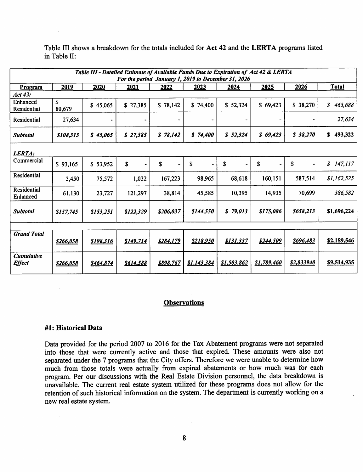| Table III - Detailed Estimate of Available Funds Due to Expiration of Act 42 & LERTA |                  |           |                  |                  |                  |             |                      |            |                                       |
|--------------------------------------------------------------------------------------|------------------|-----------|------------------|------------------|------------------|-------------|----------------------|------------|---------------------------------------|
| For the period January 1, 2019 to December 31, 2026                                  |                  |           |                  |                  |                  |             |                      |            |                                       |
| Program                                                                              | 2019             | 2020      | 2021             | 2022             | 2023             | 2024        | 2025                 | 2026       | <b>Total</b>                          |
| Act 42:                                                                              |                  |           |                  |                  |                  |             |                      |            |                                       |
| Enhanced<br>Residential                                                              | \$<br>80,679     | \$45,065  | \$27,385         | \$78,142         | \$74,400         | \$52,324    | \$69,423             | \$38,270   | $\boldsymbol{s}$<br>465,688           |
| Residential                                                                          | 27,634           |           |                  |                  |                  |             |                      |            | 27,634                                |
| <b>Subtotal</b>                                                                      | \$108,313        | \$45,065  | \$27,385         | \$78,142         | \$74,400         | \$52,324    | \$69,423             | \$38,270   | \$<br>493,322                         |
| LERTA:                                                                               |                  |           |                  |                  |                  |             |                      |            |                                       |
| Commercial                                                                           | \$93,165         | \$53,952  | \$               | \$               | \$               | \$          | \$<br>$\blacksquare$ | \$         | 147,117<br>$\boldsymbol{\mathcal{S}}$ |
| Residential                                                                          | 3,450            | 75,572    | 1,032            | 167,223          | 98,965           | 68,618      | 160,151              | 587,514    | \$1,162,525                           |
| Residential<br>Enhanced                                                              | 61,130           | 23,727    | 121,297          | 38,814           | 45,585           | 10,395      | 14,935               | 70,699     | 386,582                               |
| <b>Subtotal</b>                                                                      | \$157,745        | \$153,251 | \$122,329        | \$206,037        | \$144,550        | \$79,013    | \$175,086            | \$658,213  | \$1,696,224                           |
|                                                                                      |                  |           |                  |                  |                  |             |                      |            |                                       |
| <b>Grand Total</b>                                                                   | <u>\$266,058</u> | \$198,316 | <b>\$149,714</b> | <u>\$284,179</u> | <u>\$218,950</u> | \$131,337   | \$244,509            | \$696,483  | \$2,189,546                           |
| <b>Cumulative</b><br><b>Effect</b>                                                   | \$266,058        | \$464,874 | 8614,588         | \$898,767        | \$1,143,384      | \$1,503,862 | \$1,789,460          | \$2,833940 | <u>\$9,514,935</u>                    |

Table III shows a breakdown for the totals included for Act 42 and the LERTA programs listed in Table II:

## **Observations**

#### #1: Historical Data

Data provided for the period 2007 to 2016 for the Tax Abatement programs were not separated into those that were currently active and those that expired. These amounts were also not separated under the 7 programs that the City offers. Therefore we were unable to determine how much from those totals were actually from expired abatements or how much was for each program. Per our discussions with the Real Estate Division personnel, the data breakdown is unavailable. The current real estate system utilized for these programs does not allow for the retention of such historical information on the system. The department is currently working on a new real estate system.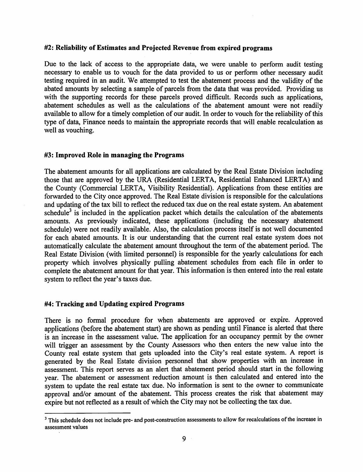#### #2: Reliability of Estimates and Projected Revenue from expired programs

Due to the lack of access to the appropriate data, we were unable to perform audit testing necessary to enable us to vouch for the data provided to us or perform other necessary audit testing required in an audit. We attempted to test the abatement process and the validity of the abated amounts by selecting a sample of parcels from the data that was provided. Providing us with the supporting records for these parcels proved difficult. Records such as applications, abatement schedules as well as the calculations of the abatement amount were not readily available to allow for a timely completion of our audit. In order to vouch for the reliability of this type of data. Finance needs to maintain the appropriate records that will enable recalculation as well as vouching.

#### #3: Improved Role in managing the Programs

The abatement amounts for all applications are calculated by the Real Estate Division including those that are approved by the URA (Residential LERTA, Residential Enhanced LERTA) and the County (Commercial LERTA, Visibility Residential). Applications from these entities are forwarded to the City once approved. The Real Estate division is responsible for the calculations and updating of the tax bill to reflect the reduced tax due on the real estate system. An abatement schedule<sup>3</sup> is included in the application packet which details the calculation of the abatements amounts. As previously indicated, these applications (including the necessary abatement schedule) were not readily available. Also, the calculation process itself is not well documented for each abated amounts. It is our understanding that the current real estate system does not automatically calculate the abatement amount throughout the term of the abatement period. The Real Estate Division (with limited personnel) is responsible for the yearly calculations for each property which involves physically pulling abatement schedules from each file in order to complete the abatement amount for that year. This information is then entered into the real estate system to reflect the year's taxes due.

#### #4: Tracking and Updating expired Programs

There is no formal procedure for when abatements are approved or expire. Approved applications (before the abatement start) are shown as pending until Finance is alerted that there is an increase in the assessment value. The application for an occupancy permit by the owner will trigger an assessment by the County Assessors who then enters the new value into the County real estate system that gets uploaded into the City's real estate system. A report is generated by the Real Estate division persormel that show properties with an increase in assessment. This report serves as an alert that abatement period should start in the following year. The abatement or assessment reduction amount is then calculated and entered into the system to update the real estate tax due. No information is sent to the owner to communicate approval and/or amount of the abatement. This process creates the risk that abatement may expire but not reflected as a result of which the City may not be collecting the tax due.

<sup>&</sup>lt;sup>3</sup> This schedule does not include pre- and post-construction assessments to allow for recalculations of the increase in assessment values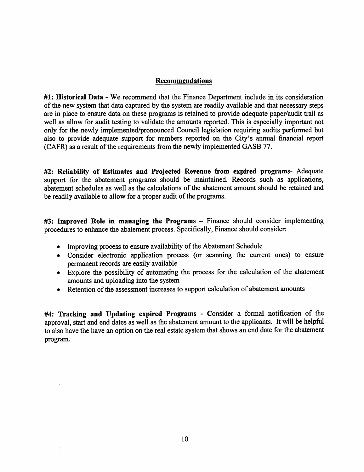## Recommendations

#1: Historical Data - We recommend that the Finance Department include in its consideration of the new system that data captured by the system are readily available and that necessary steps are in place to ensure data on these programs is retained to provide adequate paper/audit trail as well as allow for audit testing to validate the amounts reported. This is especially important not only for the newly implemented/pronounced Council legislation requiring audits performed but also to provide adequate support for numbers reported on the City's annual financial report (CAFR) as a result of the requirements from the newly implemented GASB 77.

#2: Reliability of Estimates and Projected Revenue from expired programs- Adequate support for the abatement programs should be maintained. Records such as applications, abatement schedules as well as the calculations of the abatement amount should be retained and be readily available to allow for a proper audit of the programs.

#3: Improved Role in managing the Programs – Finance should consider implementing procedures to enhance the abatement process. Specifically, Finance should consider:

- Improving process to ensure availability of the Abatement Schedule
- Consider electronic application process (or scanning the current ones) to ensure permanent records are easily available
- Explore the possibility of automating the process for the calculation of the abatement amounts and uploading into the system
- Retention of the assessment increases to support calculation of abatement amounts

#4; Tracking and Updating expired Programs - Consider a formal notification of the approval, start and end dates as well as the abatement amount to the applicants. It will be helpful to also have the have an option on the real estate system that shows an end date for the abatement program.